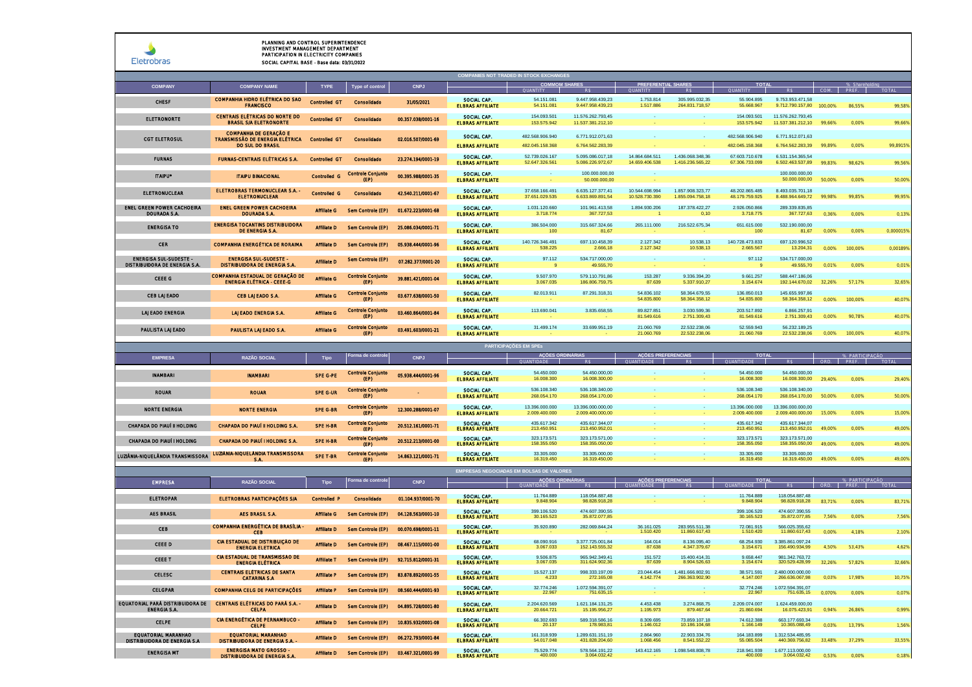| <b>Fletrobras</b> |
|-------------------|

|                                                                |                                                                                             |                      |                                  |                    | <b>COMPANIES NOT TRADED IN STOCK EXCHANGES</b>  | <b>COMMOM SHARES</b>               |                                        | <b>PREFERENTIAL SHARES</b>       |                                      | <b>TOTAL</b>                       |                                        |        |         |           |
|----------------------------------------------------------------|---------------------------------------------------------------------------------------------|----------------------|----------------------------------|--------------------|-------------------------------------------------|------------------------------------|----------------------------------------|----------------------------------|--------------------------------------|------------------------------------|----------------------------------------|--------|---------|-----------|
| <b>COMPANY</b>                                                 | <b>COMPANY NAME</b><br>COMPANHIA HIDRO ELÉTRICA DO SAO                                      | <b>TYPE</b>          | Type of control                  | <b>CNPJ</b>        | SOCIAL CAP.                                     | 54.151.081                         | 9.447.958.439.23                       | 1.753.814                        | 305.995.032.35                       | 55.904.895                         | 9.753.953.471.58                       |        |         |           |
| CHESE                                                          | <b>FRANCISCO</b>                                                                            | Controlled GT        | Consolidado                      | 31/05/2021         | <b>ELBRAS AFFILIATE</b>                         | 54.151.081                         | 9.447.958.439,23                       | 1.517.886                        | 264.831.718,57                       | 55.668.967                         | 9.712.790.157,80 100.00%               |        | 86.55%  | 99.58%    |
| <b>ELETRONORTE</b>                                             | CENTRAIS ELÉTRICAS DO NORTE DO<br><b>BRASIL S/A ELETRONORTE</b>                             | Controlled GT        | Consolidado                      | 00.357.038/0001-16 | SOCIAL CAP.<br><b>ELBRAS AFFILIATE</b>          | 154.093.501<br>153.575.942         | 11.576.262.793,45<br>11.537.381.212,10 |                                  |                                      | 154.093.501<br>153.575.942         | 11.576.262.793,45<br>11.537.381.212,10 | 99,66% | 0,00%   | 99,66%    |
| <b>CGT ELETROSUL</b>                                           | <b>COMPANHIA DE GERAÇÃO E</b><br>TRANSMISSÃO DE ENERGIA ELÉTRICA<br><b>DO SUL DO BRASIL</b> | <b>Controlled GT</b> | Consolidado                      | 02.016.507/0001-69 | SOCIAL CAP.<br><b>FI BRAS AFFII IATF</b>        | 482.568.906.940<br>482 045 158 368 | 6.771.912.071,63<br>6.764.562.283.39   |                                  |                                      | 482.568.906.940<br>482.045.158.368 | 6.771.912.071,63<br>6.764.562.283.39   | 99.89% | 0.00%   | 99.8915%  |
| <b>FURNAS</b>                                                  | <b>FURNAS-CENTRAIS ELÉTRICAS S.A.</b>                                                       | <b>Controlled GT</b> | Consolidado                      | 23.274.194/0001-19 | SOCIAL CAP.<br><b>ELBRAS AFFILIATE</b>          | 52.739.026.167<br>52.647.326.561   | 5.095.086.017,18<br>5.086.226.972,67   | 14.864.684.511<br>14.659.406.538 | 1.436.068.348.36<br>1.416.236.565.22 | 67.603.710.678<br>67.306.733.099   | 6.531.154.365.54<br>6.502.463.537,89   | 99.83% | 98,62%  | 99.56%    |
| <b>ITAIPU*</b>                                                 | <b>ITAIPU BINACIONAL</b>                                                                    | Controlled G         | <b>Controle Conjunto</b><br>(EP) | 00.395.988/0001-35 | SOCIAL CAP.<br><b>ELBRAS AFFILIATE</b>          |                                    | 100.000.000.00<br>50.000.000,00        |                                  |                                      |                                    | 100.000.000.00<br>50,000,000,00        | 50.00% | 0.00%   | 50,00%    |
| <b>ELETRONUCLEAR</b>                                           | ELETROBRAS TERMONUCLEAR S.A. -<br><b>ELETRONUCLEAR</b>                                      | Controlled G         | Consolidado                      | 42.540.211/0001-67 | SOCIAL CAP.<br><b>ELBRAS AFFILIATE</b>          | 37.658.166.491<br>37.651.029.535   | 6.635.127.377,41<br>6.633.869.891,54   | 10.544.698.994<br>10.528.730.390 | 1.857.908.323.77<br>1.855.094.758.18 | 48.202.865.485<br>48.179.759.925   | 8.493.035.701.18<br>8.488.964.649,72   | 99.98% | 99.85%  | 99.95%    |
| ENEL GREEN POWER CACHOEIRA<br>DOURADA S.A.                     | <b>ENEL GREEN POWER CACHOEIRA</b><br><b>DOURADA S.A.</b>                                    | <b>Affiliate G</b>   | Sem Controle (EP)                | 01.672.223/0001-68 | SOCIAL CAP.<br><b>ELBRAS AFFILIATE</b>          | 1.031.120.660<br>3.718.774         | 101.961.413,58<br>367.727,53           | 1.894.930.206                    | 187.378.422,27<br>0, 10              | 2.926.050.866<br>3.718.775         | 289.339.835.85<br>367.727,63           | 0.36%  | 0,00%   | 0,13%     |
| <b>ENERGISA TO</b>                                             | <b>ENERGISA TOCANTINS DISTRIBUIDORA</b><br>DE ENERGIA S.A.                                  | <b>Affiliate D</b>   | Sem Controle (EP)                | 25.086.034/0001-71 | SOCIAL CAP.<br><b>ELBRAS AFFILIATE</b>          | 386.504.000<br>100                 | 315.667.324.66<br>81.67                | 265.111.000                      | 216.522.675.34                       | 651.615.000<br>100                 | 532.190.000.00<br>81,67                | 0.00%  | 0.00%   | 0.000015% |
| <b>CER</b>                                                     | <b>COMPANHIA ENERGÉTICA DE RORAIMA</b>                                                      | <b>Affiliate D</b>   | Sem Controle (EP)                | 05.938.444/0001-96 | SOCIAL CAP.<br><b>ELBRAS AFFILIATE</b>          | 140.726.346.491<br>538,225         | 697.110.458,39<br>2.666.18             | 2.127.342<br>2.127.342           | 10,538.13<br>10,538.13               | 140.728.473.833<br>2.665.567       | 697.120.996,52<br>13,204.31            | 0.00%  | 100.00% | 0.00189%  |
| <b>ENERGISA SUL-SUDESTE -</b><br>DISTRIBUIDORA DE ENERGIA S.A. | <b>ENERGISA SUL SUDESTE -</b><br><b>DISTRIBUIDORA DE ENERGIA S.A</b>                        | <b>Affiliate D</b>   | Sem Controle (EP)                | 07.282.377/0001-20 | SOCIAL CAP.<br><b>ELBRAS AFFILIATE</b>          | 97.112                             | 534.717.000.00<br>49.555,70            |                                  |                                      | 97.112                             | 534.717.000.00<br>49.555,70            | 0.01%  | 0,00%   | 0,01%     |
| CEEE G                                                         | COMPANHIA ESTADUAL DE GERAÇÃO DE<br><b>ENERGIA ELÉTRICA - CEEE-G</b>                        | <b>Affiliate G</b>   | Controle Conjunto<br>(EP)        | 39.881.421/0001-04 | SOCIAL CAP.<br><b>ELBRAS AFFILIATE</b>          | 9.507.970<br>3.067.035             | 579.110.791,86<br>186.806.759.75       | 153.287<br>87.639                | 9.336.394.20<br>5.337.910.27         | 9.661.257<br>3.154.674             | 588.447.186,06<br>192.144.670.02       | 32.26% | 57,17%  | 32,65%    |
| CEB LAJEADO                                                    | CEB LAJEADO S.A.                                                                            | <b>Affiliate G</b>   | Controle Conjunto<br>(EP)        | 03.677.638/0001-50 | SOCIAL CAP.<br><b>ELBRAS AFFILIATE</b>          | 82.013.911                         | 87.291.318,31                          | 54.836.102<br>54.835.800         | 58.364.679.55<br>58.364.358,12       | 136.850.013<br>54.835.800          | 145.655.997.86<br>58.364.358,12        | 0.00%  | 100.00% | 40.07%    |
| <b>LAJEADO ENERGIA</b>                                         | <b>LAJEADO ENERGIA S.A.</b>                                                                 | <b>Affiliate G</b>   | Controle Conjunto<br>(EP)        | 03.460.864/0001-84 | SOCIAL CAP.<br><b>ELBRAS AFFILIATE</b>          | 113,690,041                        | 3.835.658.55                           | 89.827.851<br>81.549.616         | 3.030.599.36<br>2.751.309.43         | 203.517.892<br>81.549.616          | 6.866.257.91<br>2.751.309.43           | 0.00%  | 90.78%  | 40.07%    |
| PAULISTA LAJEADO                                               | PAULISTA LAJEADO S.A.                                                                       | <b>Affiliate G</b>   | <b>Controle Conjunto</b><br>(EP) | 03.491.603/0001-21 | SOCIAL CAP.<br><b>ELBRAS AFFILIATE</b>          | 31.499.174                         | 33.699.951.19                          | 21.060.769<br>21.060.769         | 22.532.238,06<br>22.532.238.06       | 52.559.943<br>21.060.769           | 56.232.189,25<br>22.532.238,06         | 0.00%  | 100.00% | 40,07%    |
|                                                                |                                                                                             |                      |                                  |                    |                                                 | PARTICIPAÇÕES EM SPES              |                                        |                                  |                                      |                                    |                                        |        |         |           |
| <b>EMPRESA</b>                                                 | <b>RAZÃO SOCIAL</b>                                                                         | Tipo                 | ma de con                        | CNP.               |                                                 | <b>ACOES OI</b>                    |                                        | <b>ACÕES PREFERENCIAIS</b>       |                                      | <b>TOTA</b>                        |                                        |        |         |           |
| <b>INAMBARI</b>                                                | <b>INAMBARI</b>                                                                             | SPE G-PE             | <b>Controle Conjunto</b><br>(EP) | 05.938.444/0001-96 | SOCIAL CAP.<br><b>ELBRAS AFFILIATE</b>          | 54.450.000<br>16.008.300           | 54.450.000,00<br>16.008.300.00         |                                  |                                      | 54.450.000<br>16.008.300           | 54.450.000,00<br>16.008.300.00         | 29,40% | 0,00%   | 29,40%    |
| <b>ROUAR</b>                                                   | <b>ROUAR</b>                                                                                | SPE G-UR             | <b>Controle Conjunto</b><br>(EP) |                    | SOCIAL CAP.<br><b>ELBRAS AFFILIATE</b>          | 536.108.340<br>268.054.170         | 536.108.340.00<br>268.054.170,00       |                                  |                                      | 536,108,340<br>268.054.170         | 536,108,340.00<br>268.054.170,00       | 50,00% | 0.00%   | 50,00%    |
| <b>NORTE ENERGIA</b>                                           | NORTE ENFRGIA                                                                               | SPF G-RR             | <b>Controle Conjunto</b><br>(EP) | 12.300.288/0001-07 | SOCIAL CAP.<br><b>FLBRAS AFFILIATE</b>          | 13.396.000.000<br>2.009.400.000    | 13.396.000.000,00<br>2.009.400.000.00  |                                  |                                      | 13.396.000.000<br>2.009.400.000    | 13.396.000.000,00<br>2.009.400.000.00  | 15,00% | 0.00%   | 15,00%    |
| CHAPADA DO PIAUÍ II HOLDING                                    | <b>CHAPADA DO PIAUÍ II HOLDING S.A.</b>                                                     | SPE H-BR             | <b>Controle Conjunto</b><br>(EP) | 20.512.161/0001-71 | SOCIAL CAP<br><b>ELBRAS AFFILIATE</b>           | 435.617.342<br>213.450.95          | 435.617.344.07<br>213.450.952,01       |                                  |                                      | 435.617.342<br>213.450.951         | 435.617.344.07<br>213.450.952,01       | 49.00% | 0.00%   | 49.00%    |
| CHAPADA DO PIAUÍ I HOLDING                                     | CHAPADA DO PIAUÍ I HOLDING S.A                                                              | SPE H-BR             | <b>Controle Conjunto</b><br>(EP) | 20.512.213/0001-00 | SOCIAL CAP.<br><b>ELBRAS AFFILIATE</b>          | 323.173.571<br>158.355.050         | 323.173.571.00<br>158.355.050.00       |                                  |                                      | 323.173.571<br>158.355.050         | 323.173.571,00<br>158.355.050.00       | 49.00% | 0.00%   | 49,00%    |
| LUZIÂNIA-NIQUELÂNDIA TRANSMISSORA                              | LUZIĀNIA-NIQUELĀNDIA TRANSMISSORA<br><b>SA</b>                                              | SPE T-BR             | <b>Controle Conjunto</b><br>(EP) | 14.863.121/0001-71 | SOCIAL CAP.<br><b>ELBRAS AFFILIATE</b>          | 33,305,000<br>16.319.450           | 33,305,000.00<br>16.319.450.00         |                                  |                                      | 33,305,000<br>16.319.450           | 33,305,000.00<br>16.319.450.00         | 49.00% | 0,00%   | 49,00%    |
|                                                                |                                                                                             |                      |                                  |                    | <b>EMPRESAS NEGOCIADAS EM BOLSAS DE VALORES</b> |                                    |                                        |                                  |                                      |                                    |                                        |        |         |           |
| <b>EMPRESA</b>                                                 | <b>RAZÃO SOCIAL</b>                                                                         | Tipo                 | orma de control                  | <b>CNPJ</b>        |                                                 | <b>ACÕES ORDINÁRIAS</b>            |                                        | <b>ACÕES PREFERENCIAIS</b>       |                                      | <b>TOTA</b>                        |                                        |        | PARTI   |           |
| <b>ELETROPAR</b>                                               | <b>ELETROBRAS PARTICIPAÇÕES S/A</b>                                                         | <b>Controlled P</b>  | Consolidado                      | 01.104.937/0001-70 | SOCIAL CAP.<br><b>ELBRAS AFFILIATE</b>          | 11,764,889<br>9.848.904            | 118.054.887.48<br>98.828.918,28        |                                  |                                      | 11.764.889<br>9.848.904            | 118.054.887.48<br>98.828.918,28        | 83.71% | 0,00%   | 83.71%    |
| <b>AES BRASIL</b>                                              | AES BRASIL S.A.                                                                             | <b>Affiliate G</b>   | Sem Controle (EP)                | 04.128.563/0001-10 | SOCIAL CAP.<br><b>ELBRAS AFFILIATE</b>          | 399.106.520<br>30.165.523          | 474.607.390,55<br>35,872,077,85        |                                  |                                      | 399.106.520<br>30.165.523          | 474.607.390,55<br>35.872.077.85        | 7.56%  | 0.00%   | 7.56%     |
| CEB                                                            | <b>COMPANHIA ENERGETICA DE BRASÍLIA -</b><br><b>CEB</b>                                     | <b>Affiliate D</b>   | Sem Controle (EP)                | 00.070.698/0001-11 | SOCIAL CAP.<br><b>ELBRAS AFFILIATE</b>          | 35.920.890                         | 282.069.844,24                         | 36.161.025<br>1.510.420          | 283 955 511 38<br>11.860.617.43      | 72.081.915<br>1.510.420            | 566.025.355.62<br>11.860.617,43        | 0.00%  | 4.18%   | 2.10%     |
| CEEE D                                                         | CIA ESTADUAL DE DISTRIBUIÇÃO DE<br><b>ENERGIA ELETRICA</b>                                  | Affiliate D          | Sem Controle (EP)                | 06.467.115/0001-00 | SOCIAL CAP.<br><b>ELBRAS AFFILIATE</b>          | 68.090.916<br>3.067.033            | 3.377.725.001,84<br>152.143.555.32     | 164.014<br>87,638                | 8.136.095.40<br>4.347.379.67         | 68.254.930<br>3.154.671            | 3.385.861.097.24<br>156.490.934.99     | 4.50%  | 53.43%  | 4,62%     |
| <b>CEEE T</b>                                                  | CIA ESTADUAL DE TRANSMISSÃO DE<br><b>ENERGIA ELÉTRICA</b>                                   | <b>Affiliate T</b>   | Sem Controle (EP)                | 92.715.812/0001-31 | SOCIAL CAP.<br><b>ELBRAS AFFILIATE</b>          | 9.506.875<br>3.067.035             | 965.942.349.41<br>311.624.902.36       | 151,572<br>87.639                | 15,400,414.3<br>8.904.526.63         | 9.658.447<br>3.154.674             | 981.342.763,72<br>320,529,428,99       | 22.26% | 57.82%  | 32,66%    |
| <b>CELESC</b>                                                  | <b>CENTRAIS ELETRICAS DE SANTA</b><br><b>CATARINA S.A.</b>                                  | Affiliate P          | Sem Controle (EP)                | 83.878.892/0001-55 | SOCIAL CAP.<br>ELBRAS AFFILIATE                 | 15.527.137<br>4.233                | 998.333.197.09<br>272.165.08           | 23.044.454<br>4.142.774          | 1 481 666 802 91<br>266,363,902.90   | 38.571.591<br>4.147.007            | 2.480.000.000.00<br>266.636.067.98     | 0.03%  | 17,98%  | 10,75%    |
| <b>CELGPAR</b>                                                 | COMPANHIA CELG DE PARTICIPAÇÕES                                                             | <b>Affiliate P</b>   | Sem Controle (EP)                | 08.560.444/0001-93 | SOCIAL CAP.<br><b>ELBRAS AFFILIATE</b>          | 32.774.246<br>22.967               | 1.072.594.391,07<br>751.635,15         |                                  |                                      | 32.774.246<br>22.967               | 1.072.594.391,07<br>751.635,15         | 0.070% | 0,00%   | 0,07%     |
| <b>ENERGIA S.A.</b>                                            | EQUATORIAL PARÁ DISTRIBUIDORA DE CENTRAIS ELÉTRICAS DO PARÁ S.A. -<br><b>CELPA</b>          | <b>Affiliate D</b>   | Sem Controle (EP)                | 04.895.728/0001-80 | SOCIAL CAP.<br><b>ELBRAS AFFILIATE</b>          | 2.204.620.569<br>20.664.721        | 1.621.184.131.25<br>15.195.956,27      | 4.453.438<br>1.195.973           | 3.274.868.75<br>879,467.64           | 2.209.074.007<br>21.860.694        | 1.624.459.000.00<br>16.075.423.91      | 0.94%  | 26.86%  | 0.99%     |
| <b>CELPE</b>                                                   | CIA ENERGETICA DE PERNAMBUCO -<br>CFI PF                                                    | <b>Affiliate D</b>   | Sem Controle (EP)                | 10.835.932/0001-08 | SOCIAL CAP.<br>ELBRAS AFFILIATE                 | 66.302.693<br>20.137               | 589.318.586.16<br>178.983,81           | 8.309.695<br>1.146.012           | 73.859.107.18<br>10.186.104.68       | 74.612.388<br>1.166.149            | 663.177.693.34<br>10.365.088.49        | 0.03%  | 13,79%  | 1,56%     |
| <b>EQUATORIAL MARANHAO</b><br>DISTRIBUIDORA DE ENERGIA S.A.    | <b>EQUATORIAL MARANHAO</b><br><b>DISTRIBUIDORA DE ENERGIA S.A.</b>                          | <b>Affiliate D</b>   | Sem Controle (EP)                | 06.272.793/0001-84 | SOCIAL CAP.<br><b>ELBRAS AFFILIATE</b>          | 161.318.939<br>54.017.048          | 1.289.631.151.19<br>431.828.204,60     | 2.864.960<br>1.068.456           | 22.903.334.76<br>8.541.552.22        | 164.183.899<br>55.085.504          | 1.312.534.485.95<br>440.369.756,82     | 33.48% | 37.29%  | 33.55%    |
| <b>ENERGISA MT</b>                                             | <b>ENERGISA MATO GROSSO -</b><br>DISTRIBUIDORA DE ENERGIA S.A.                              | <b>Affiliate D</b>   | Sem Controle (EP)                | 03.467.321/0001-99 | SOCIAL CAP.<br><b>ELBRAS AFFILIATE</b>          | 75.529.774<br>400,000              | 578.564.191,22<br>3.064.032.42         | 143.412.165                      | 1.098.548.808,78                     | 218.941.939<br>400,000             | 1.677.113.000,00<br>3.064.032.42       | 0.53%  | 0.00%   | 0.18%     |